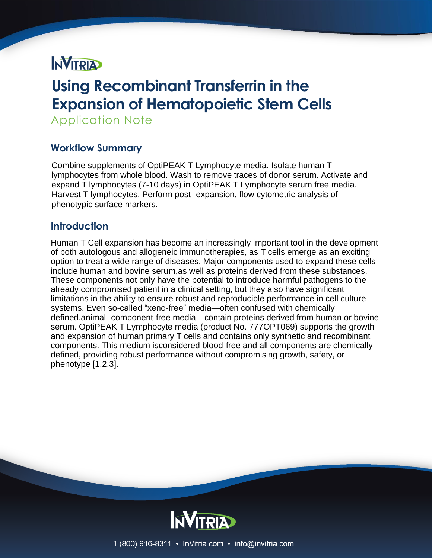# **NVITRIA**

# **Using Recombinant Transferrin in the Expansion of Hematopoietic Stem Cells**

Application Note

# **Workflow Summary**

Combine supplements of OptiPEAK T Lymphocyte media. Isolate human T lymphocytes from whole blood. Wash to remove traces of donor serum. Activate and expand T lymphocytes (7-10 days) in OptiPEAK T Lymphocyte serum free media. Harvest T lymphocytes. Perform post- expansion, flow cytometric analysis of phenotypic surface markers.

# **Introduction**

Human T Cell expansion has become an increasingly important tool in the development of both autologous and allogeneic immunotherapies, as T cells emerge as an exciting option to treat a wide range of diseases. Major components used to expand these cells include human and bovine serum,as well as proteins derived from these substances. These components not only have the potential to introduce harmful pathogens to the already compromised patient in a clinical setting, but they also have significant limitations in the ability to ensure robust and reproducible performance in cell culture systems. Even so-called "xeno-free" media—often confused with chemically defined,animal- component-free media—contain proteins derived from human or bovine serum. OptiPEAK T Lymphocyte media (product No. 777OPT069) supports the growth and expansion of human primary T cells and contains only synthetic and recombinant components. This medium isconsidered blood-free and all components are chemically defined, providing robust performance without compromising growth, safety, or phenotype [1,2,3].



1 (800) 916-8311 • InVitria.com • info@invitria.com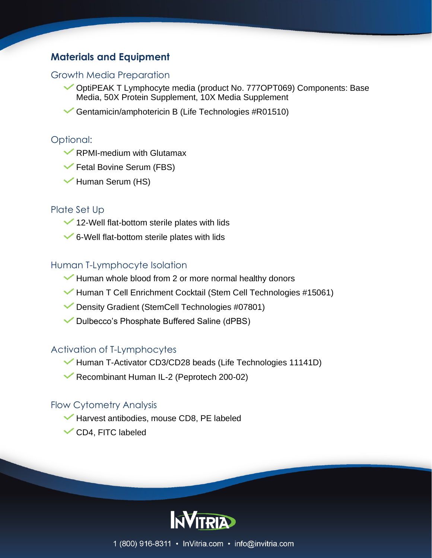# **Materials and Equipment**

## Growth Media Preparation

- OptiPEAK T Lymphocyte media (product No. 777OPT069) Components: Base Media, 50X Protein Supplement, 10X Media Supplement
- Gentamicin/amphotericin B (Life Technologies #R01510)

#### Optional:

- $\blacktriangleright$  RPMI-medium with Glutamax
- Fetal Bovine Serum (FBS)
- Human Serum (HS)

#### Plate Set Up

- $\checkmark$  12-Well flat-bottom sterile plates with lids
- $\checkmark$  6-Well flat-bottom sterile plates with lids

### Human T-Lymphocyte Isolation

- Human whole blood from 2 or more normal healthy donors
- Human T Cell Enrichment Cocktail (Stem Cell Technologies #15061)
- Density Gradient (StemCell Technologies #07801)
- Dulbecco's Phosphate Buffered Saline (dPBS)

## Activation of T-Lymphocytes

- Human T-Activator CD3/CD28 beads (Life Technologies 11141D)
- Recombinant Human IL-2 (Peprotech 200-02)

### Flow Cytometry Analysis

- Harvest antibodies, mouse CD8, PE labeled
- CD4, FITC labeled

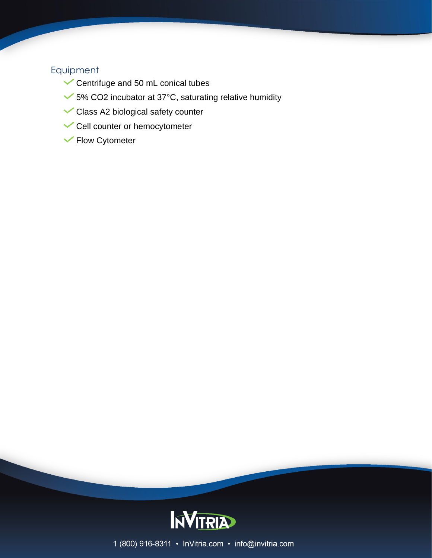## Equipment

- Centrifuge and 50 mL conical tubes
- 5% CO2 incubator at 37°C, saturating relative humidity
- Class A2 biological safety counter
- Cell counter or hemocytometer
- Flow Cytometer



1 (800) 916-8311 · InVitria.com · info@invitria.com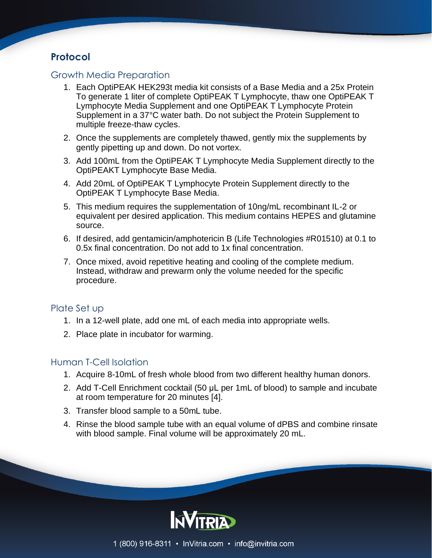# **Protocol**

## Growth Media Preparation

- 1. Each OptiPEAK HEK293t media kit consists of a Base Media and a 25x Protein To generate 1 liter of complete OptiPEAK T Lymphocyte, thaw one OptiPEAK T Lymphocyte Media Supplement and one OptiPEAK T Lymphocyte Protein Supplement in a 37°C water bath. Do not subject the Protein Supplement to multiple freeze-thaw cycles.
- 2. Once the supplements are completely thawed, gently mix the supplements by gently pipetting up and down. Do not vortex.
- 3. Add 100mL from the OptiPEAK T Lymphocyte Media Supplement directly to the OptiPEAKT Lymphocyte Base Media.
- 4. Add 20mL of OptiPEAK T Lymphocyte Protein Supplement directly to the OptiPEAK T Lymphocyte Base Media.
- 5. This medium requires the supplementation of 10ng/mL recombinant IL-2 or equivalent per desired application. This medium contains HEPES and glutamine source.
- 6. If desired, add gentamicin/amphotericin B (Life Technologies #R01510) at 0.1 to 0.5x final concentration. Do not add to 1x final concentration.
- 7. Once mixed, avoid repetitive heating and cooling of the complete medium. Instead, withdraw and prewarm only the volume needed for the specific procedure.

## Plate Set up

- 1. In a 12-well plate, add one mL of each media into appropriate wells.
- 2. Place plate in incubator for warming.

## Human T-Cell Isolation

- 1. Acquire 8-10mL of fresh whole blood from two different healthy human donors.
- 2. Add T-Cell Enrichment cocktail (50 μL per 1mL of blood) to sample and incubate at room temperature for 20 minutes [4].
- 3. Transfer blood sample to a 50mL tube.
- 4. Rinse the blood sample tube with an equal volume of dPBS and combine rinsate with blood sample. Final volume will be approximately 20 mL.

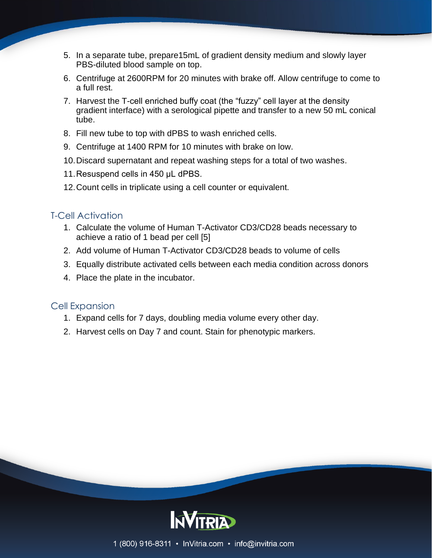- 5. In a separate tube, prepare15mL of gradient density medium and slowly layer PBS-diluted blood sample on top.
- 6. Centrifuge at 2600RPM for 20 minutes with brake off. Allow centrifuge to come to a full rest.
- 7. Harvest the T-cell enriched buffy coat (the "fuzzy" cell layer at the density gradient interface) with a serological pipette and transfer to a new 50 mL conical tube.
- 8. Fill new tube to top with dPBS to wash enriched cells.
- 9. Centrifuge at 1400 RPM for 10 minutes with brake on low.
- 10.Discard supernatant and repeat washing steps for a total of two washes.
- 11.Resuspend cells in 450 μL dPBS.
- 12.Count cells in triplicate using a cell counter or equivalent.

## T-Cell Activation

- 1. Calculate the volume of Human T-Activator CD3/CD28 beads necessary to achieve a ratio of 1 bead per cell [5]
- 2. Add volume of Human T-Activator CD3/CD28 beads to volume of cells
- 3. Equally distribute activated cells between each media condition across donors
- 4. Place the plate in the incubator.

### Cell Expansion

- 1. Expand cells for 7 days, doubling media volume every other day.
- 2. Harvest cells on Day 7 and count. Stain for phenotypic markers.

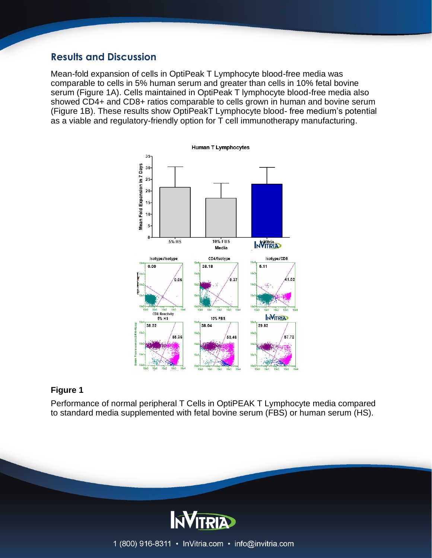## **Results and Discussion**

Mean-fold expansion of cells in OptiPeak T Lymphocyte blood-free media was comparable to cells in 5% human serum and greater than cells in 10% fetal bovine serum (Figure 1A). Cells maintained in OptiPeak T lymphocyte blood-free media also showed CD4+ and CD8+ ratios comparable to cells grown in human and bovine serum (Figure 1B). These results show OptiPeakT Lymphocyte blood- free medium's potential as a viable and regulatory-friendly option for T cell immunotherapy manufacturing.



#### **Figure 1**

Performance of normal peripheral T Cells in OptiPEAK T Lymphocyte media compared to standard media supplemented with fetal bovine serum (FBS) or human serum (HS).



1 (800) 916-8311 • InVitria.com • info@invitria.com